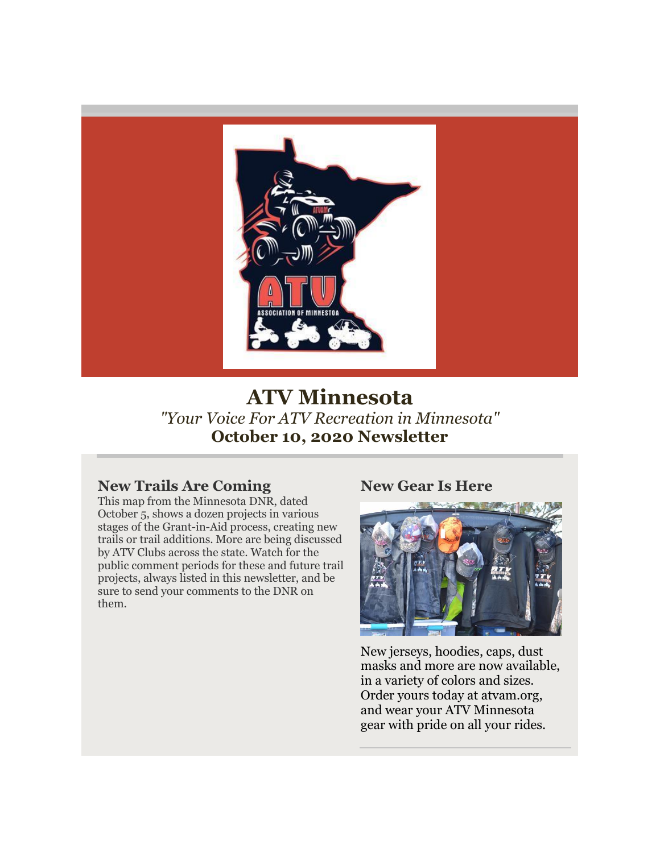

# **ATV Minnesota** *"Your Voice For ATV Recreation in Minnesota"* **October 10, 2020 Newsletter**

### **New Trails Are Coming**

This map from the Minnesota DNR, dated October 5, shows a dozen projects in various stages of the Grant-in-Aid process, creating new trails or trail additions. More are being discussed by ATV Clubs across the state. Watch for the public comment periods for these and future trail projects, always listed in this newsletter, and be sure to send your comments to the DNR on them.

#### **New Gear Is Here**



New jerseys, hoodies, caps, dust masks and more are now available, in a variety of colors and sizes. Order yours today at atvam.org, and wear your ATV Minnesota gear with pride on all your rides.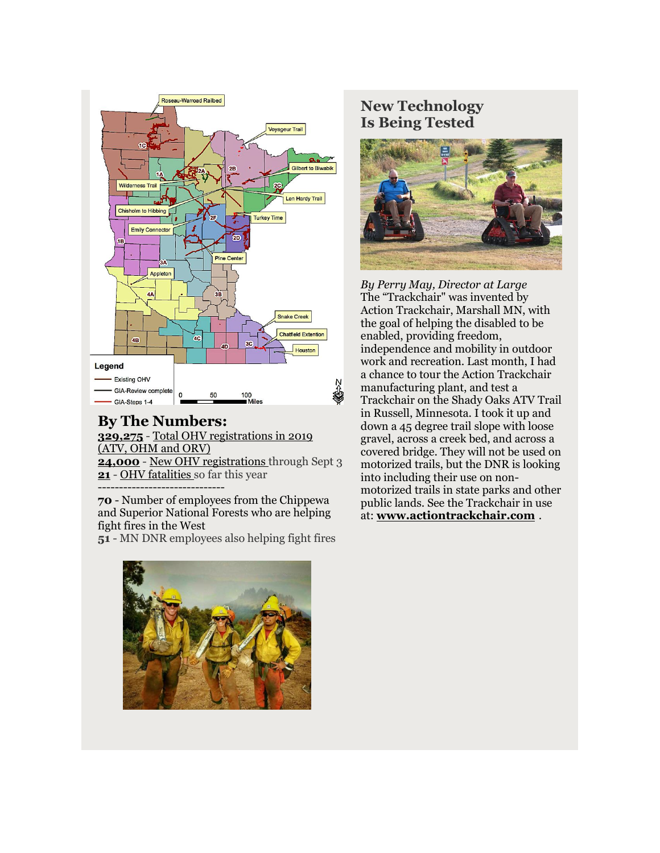

#### **By The Numbers: [329,275](http://r20.rs6.net/tn.jsp?f=001Qp94rN2GrDr9PzhHcvAJ4eZpCvVos2awgEgmr_n47-AVlXKstVkdOWUs3IuzLAjF8ABx82Fc1ChdBdo4F_X6y5ozoHXVNsUjomJ3qsvXpg8g8j43ugfefvNmQ6Jgf2ebm21JdfALZrwvB_2naEGBCec-Js_IqFfn7ap3ylbJCclYl96Iqopwdm5kNpp91ijP0aUBzhQyc6Q=&c=VBU11X3o27z3EM_IBRTQE4XFG53762Jhesy2X8MOuEG3MTIoUSFPJw==&ch=LEERQtOXGS6yS9BRFHT9cJJljPgvKr45vPkuJPEqGu9mdVCat66FHQ==)** - [Total OHV registrations in 2019](http://r20.rs6.net/tn.jsp?f=001Qp94rN2GrDr9PzhHcvAJ4eZpCvVos2awgEgmr_n47-AVlXKstVkdOWUs3IuzLAjF8ABx82Fc1ChdBdo4F_X6y5ozoHXVNsUjomJ3qsvXpg8g8j43ugfefvNmQ6Jgf2ebm21JdfALZrwvB_2naEGBCec-Js_IqFfn7ap3ylbJCclYl96Iqopwdm5kNpp91ijP0aUBzhQyc6Q=&c=VBU11X3o27z3EM_IBRTQE4XFG53762Jhesy2X8MOuEG3MTIoUSFPJw==&ch=LEERQtOXGS6yS9BRFHT9cJJljPgvKr45vPkuJPEqGu9mdVCat66FHQ==)  [\(ATV, OHM and ORV\)](http://r20.rs6.net/tn.jsp?f=001Qp94rN2GrDr9PzhHcvAJ4eZpCvVos2awgEgmr_n47-AVlXKstVkdOWUs3IuzLAjF8ABx82Fc1ChdBdo4F_X6y5ozoHXVNsUjomJ3qsvXpg8g8j43ugfefvNmQ6Jgf2ebm21JdfALZrwvB_2naEGBCec-Js_IqFfn7ap3ylbJCclYl96Iqopwdm5kNpp91ijP0aUBzhQyc6Q=&c=VBU11X3o27z3EM_IBRTQE4XFG53762Jhesy2X8MOuEG3MTIoUSFPJw==&ch=LEERQtOXGS6yS9BRFHT9cJJljPgvKr45vPkuJPEqGu9mdVCat66FHQ==) **[24,000](http://r20.rs6.net/tn.jsp?f=001Qp94rN2GrDr9PzhHcvAJ4eZpCvVos2awgEgmr_n47-AVlXKstVkdOWUs3IuzLAjF8ABx82Fc1ChdBdo4F_X6y5ozoHXVNsUjomJ3qsvXpg8g8j43ugfefvNmQ6Jgf2ebm21JdfALZrwvB_2naEGBCec-Js_IqFfn7ap3ylbJCclYl96Iqopwdm5kNpp91ijP0aUBzhQyc6Q=&c=VBU11X3o27z3EM_IBRTQE4XFG53762Jhesy2X8MOuEG3MTIoUSFPJw==&ch=LEERQtOXGS6yS9BRFHT9cJJljPgvKr45vPkuJPEqGu9mdVCat66FHQ==)** - [New OHV registrations t](http://r20.rs6.net/tn.jsp?f=001Qp94rN2GrDr9PzhHcvAJ4eZpCvVos2awgEgmr_n47-AVlXKstVkdOWUs3IuzLAjF8ABx82Fc1ChdBdo4F_X6y5ozoHXVNsUjomJ3qsvXpg8g8j43ugfefvNmQ6Jgf2ebm21JdfALZrwvB_2naEGBCec-Js_IqFfn7ap3ylbJCclYl96Iqopwdm5kNpp91ijP0aUBzhQyc6Q=&c=VBU11X3o27z3EM_IBRTQE4XFG53762Jhesy2X8MOuEG3MTIoUSFPJw==&ch=LEERQtOXGS6yS9BRFHT9cJJljPgvKr45vPkuJPEqGu9mdVCat66FHQ==)hrough Sept 3 **[21](http://r20.rs6.net/tn.jsp?f=001Qp94rN2GrDr9PzhHcvAJ4eZpCvVos2awgEgmr_n47-AVlXKstVkdOWUs3IuzLAjF8ABx82Fc1ChdBdo4F_X6y5ozoHXVNsUjomJ3qsvXpg8g8j43ugfefvNmQ6Jgf2ebm21JdfALZrwvB_2naEGBCec-Js_IqFfn7ap3ylbJCclYl96Iqopwdm5kNpp91ijP0aUBzhQyc6Q=&c=VBU11X3o27z3EM_IBRTQE4XFG53762Jhesy2X8MOuEG3MTIoUSFPJw==&ch=LEERQtOXGS6yS9BRFHT9cJJljPgvKr45vPkuJPEqGu9mdVCat66FHQ==)** - [OHV fatalities](http://r20.rs6.net/tn.jsp?f=001Qp94rN2GrDr9PzhHcvAJ4eZpCvVos2awgEgmr_n47-AVlXKstVkdOWUs3IuzLAjF8ABx82Fc1ChdBdo4F_X6y5ozoHXVNsUjomJ3qsvXpg8g8j43ugfefvNmQ6Jgf2ebm21JdfALZrwvB_2naEGBCec-Js_IqFfn7ap3ylbJCclYl96Iqopwdm5kNpp91ijP0aUBzhQyc6Q=&c=VBU11X3o27z3EM_IBRTQE4XFG53762Jhesy2X8MOuEG3MTIoUSFPJw==&ch=LEERQtOXGS6yS9BRFHT9cJJljPgvKr45vPkuJPEqGu9mdVCat66FHQ==) so far this year ------------------------------

**70** - Number of employees from the Chippewa and Superior National Forests who are helping fight fires in the West

**51** - MN DNR employees also helping fight fires

## **New Technology Is Being Tested**



*By Perry May, Director at Large* The "Trackchair" was invented by Action Trackchair, Marshall MN, with the goal of helping the disabled to be enabled, providing freedom, independence and mobility in outdoor work and recreation. Last month, I had a chance to tour the Action Trackchair manufacturing plant, and test a Trackchair on the Shady Oaks ATV Trail in Russell, Minnesota. I took it up and down a 45 degree trail slope with loose gravel, across a creek bed, and across a covered bridge. They will not be used on motorized trails, but the DNR is looking into including their use on nonmotorized trails in state parks and other public lands. See the Trackchair in use at: **[www.actiontrackchair.com](http://r20.rs6.net/tn.jsp?f=001Qp94rN2GrDr9PzhHcvAJ4eZpCvVos2awgEgmr_n47-AVlXKstVkdOWUs3IuzLAjFaPw1FUs0Bo2KY0b4PVErOrvSGyKvyDDE0Aai-0Ns52-BYxvGWpjkAx1OAVSrZVHqSyUNFFHkjIDUVS_BKxdHMf-VRrEkntWm&c=VBU11X3o27z3EM_IBRTQE4XFG53762Jhesy2X8MOuEG3MTIoUSFPJw==&ch=LEERQtOXGS6yS9BRFHT9cJJljPgvKr45vPkuJPEqGu9mdVCat66FHQ==)** .

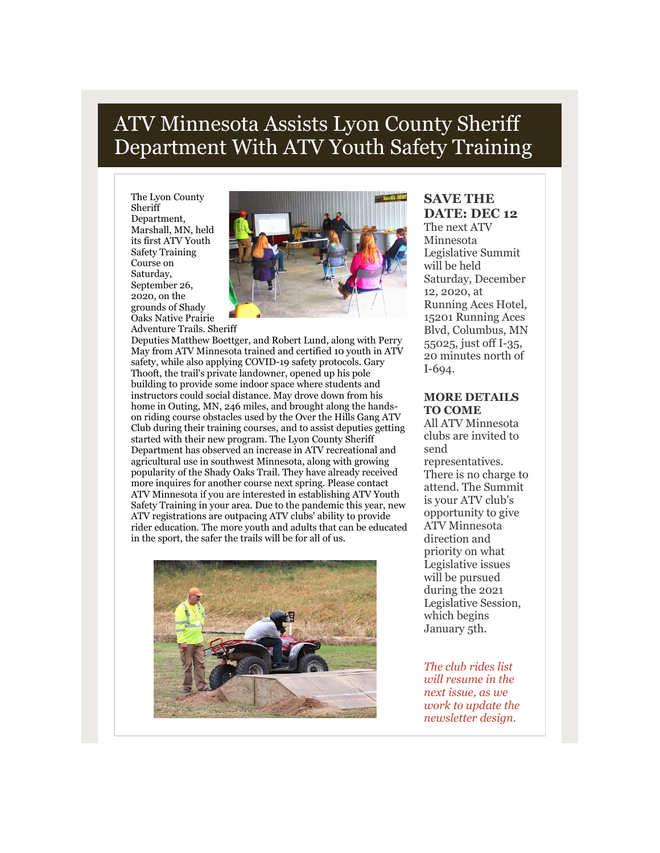# ATV Minnesota Assists Lyon County Sheriff Department With ATV Youth Safety Training

The Lyon County Sheriff Department, Marshall, MN, held its first ATV Youth Safety Training Course on Saturday, September 26, 2020, on the grounds of Shady Oaks Native Prairie Adventure Trails. Sheriff



Deputies Matthew Boettger, and Robert Lund, along with Perry May from ATV Minnesota trained and certified 10 youth in ATV safety, while also applying COVID-19 safety protocols. Gary Thooft, the trail's private landowner, opened up his pole building to provide some indoor space where students and instructors could social distance. May drove down from his home in Outing, MN, 246 miles, and brought along the handson riding course obstacles used by the Over the Hills Gang ATV Club during their training courses, and to assist deputies getting started with their new program. The Lyon County Sheriff Department has observed an increase in ATV recreational and agricultural use in southwest Minnesota, along with growing popularity of the Shady Oaks Trail. They have already received more inquires for another course next spring. Please contact ATV Minnesota if you are interested in establishing ATV Youth Safety Training in your area. Due to the pandemic this year, new ATV registrations are outpacing ATV clubs' ability to provide rider education. The more youth and adults that can be educated in the sport, the safer the trails will be for all of us.



## **SAVE THE DATE: DEC 12** The next ATV

Minnesota Legislative Summit will be held Saturday, December 12, 2020, at Running Aces Hotel, 15201 Running Aces Blvd, Columbus, MN 55025, just off I-35, 20 minutes north of I-694.

#### **MORE DETAILS TO COME**

All ATV Minnesota clubs are invited to send representatives. There is no charge to attend. The Summit is your ATV club's opportunity to give ATV Minnesota direction and priority on what Legislative issues will be pursued during the 2021 Legislative Session, which begins January 5th.

*The club rides list will resume in the next issue, as we work to update the newsletter design.*